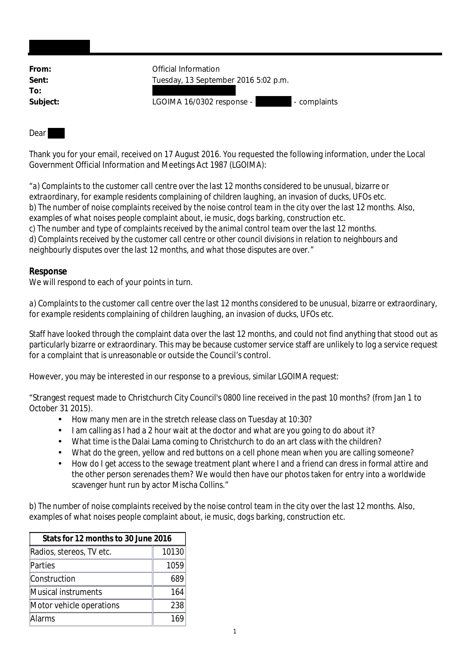| From:    | Official Information                      |
|----------|-------------------------------------------|
| Sent:    | Tuesday, 13 September 2016 5:02 p.m.      |
| To:      |                                           |
| Subject: | LGOIMA 16/0302 response -<br>- complaints |
|          |                                           |

## Dear

Thank you for your email, received on 17 August 2016. You requested the following information, under the Local Government Official Information and Meetings Act 1987 (LGOIMA):

"*a) Complaints to the customer call centre over the last 12 months considered to be unusual, bizarre or extraordinary, for example residents complaining of children laughing, an invasion of ducks, UFOs etc. b) The number of noise complaints received by the noise control team in the city over the last 12 months. Also, examples of what noises people complaint about, ie music, dogs barking, construction etc. c) The number and type of complaints received by the animal control team over the last 12 months. d) Complaints received by the customer call centre or other council divisions in relation to neighbours and neighbourly disputes over the last 12 months, and what those disputes are over.*"

## **Response**

We will respond to each of your points in turn.

*a) Complaints to the customer call centre over the last 12 months considered to be unusual, bizarre or extraordinary, for example residents complaining of children laughing, an invasion of ducks, UFOs etc.*

Staff have looked through the complaint data over the last 12 months, and could not find anything that stood out as particularly bizarre or extraordinary. This may be because customer service staff are unlikely to log a service request for a complaint that is unreasonable or outside the Council's control.

However, you may be interested in our response to a previous, similar LGOIMA request:

"Strangest request made to Christchurch City Council's 0800 line received in the past 10 months? (from Jan 1 to October 31 2015)*.*

- $\mathcal{L}^{\text{max}}$ How many men are in the stretch release class on Tuesday at 10:30?
- I am calling as I had a 2 hour wait at the doctor and what are you going to do about it?
- What time is the Dalai Lama coming to Christchurch to do an art class with the children?
- What do the green, yellow and red buttons on a cell phone mean when you are calling someone?
- How do I get access to the sewage treatment plant where I and a friend can dress in formal attire and the other person serenades them? We would then have our photos taken for entry into a worldwide scavenger hunt run by actor Mischa Collins."

*b) The number of noise complaints received by the noise control team in the city over the last 12 months. Also, examples of what noises people complaint about, ie music, dogs barking, construction etc.*

| Stats for 12 months to 30 June 2016 |       |  |
|-------------------------------------|-------|--|
| Radios, stereos, TV etc.            | 10130 |  |
| Parties                             | 1059  |  |
| Construction                        | 689   |  |
| Musical instruments                 | 164   |  |
| Motor vehicle operations            | 238   |  |
| Alarms                              |       |  |